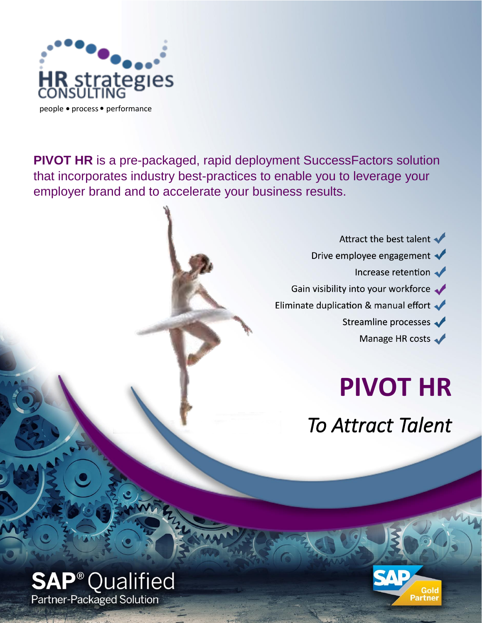

**PIVOT HR** is a pre-packaged, rapid deployment SuccessFactors solution that incorporates industry best-practices to enable you to leverage your employer brand and to accelerate your business results.

> Attract the best talent Drive employee engagement  $\blacklozenge$ Increase retention Gain visibility into your workforce Eliminate duplication & manual effort Streamline processes Manage HR costs

> > **PIVOT HR**

*To Attract Talent*